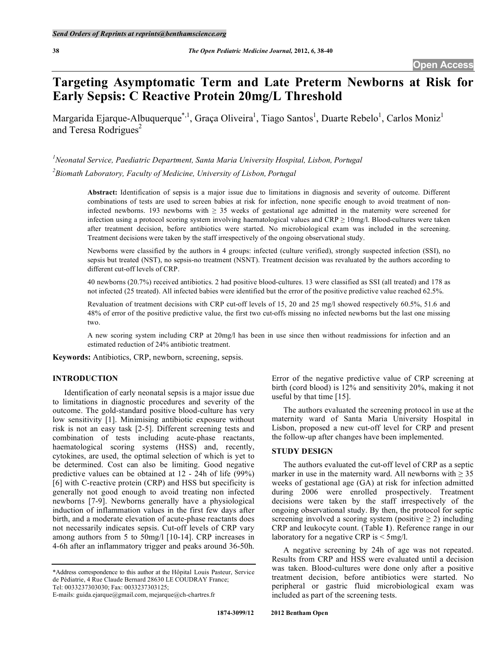# **Targeting Asymptomatic Term and Late Preterm Newborns at Risk for Early Sepsis: C Reactive Protein 20mg/L Threshold**

Margarida Ejarque-Albuquerque<sup>\*,1</sup>, Graça Oliveira<sup>1</sup>, Tiago Santos<sup>1</sup>, Duarte Rebelo<sup>1</sup>, Carlos Moniz<sup>1</sup> and Teresa Rodrigues<sup>2</sup>

<sup>1</sup> Neonatal Service, Paediatric Department, Santa Maria University Hospital, Lisbon, Portugal *2 Biomath Laboratory, Faculty of Medicine, University of Lisbon, Portugal* 

> **Abstract:** Identification of sepsis is a major issue due to limitations in diagnosis and severity of outcome. Different combinations of tests are used to screen babies at risk for infection, none specific enough to avoid treatment of noninfected newborns. 193 newborns with  $\geq$  35 weeks of gestational age admitted in the maternity were screened for infection using a protocol scoring system involving haematological values and  $CRP \ge 10$ mg/l. Blood-cultures were taken after treatment decision, before antibiotics were started. No microbiological exam was included in the screening. Treatment decisions were taken by the staff irrespectively of the ongoing observational study.

> Newborns were classified by the authors in 4 groups: infected (culture verified), strongly suspected infection (SSI), no sepsis but treated (NST), no sepsis-no treatment (NSNT). Treatment decision was revaluated by the authors according to different cut-off levels of CRP.

> 40 newborns (20.7%) received antibiotics. 2 had positive blood-cultures. 13 were classified as SSI (all treated) and 178 as not infected (25 treated). All infected babies were identified but the error of the positive predictive value reached 62.5%.

> Revaluation of treatment decisions with CRP cut-off levels of 15, 20 and 25 mg/l showed respectively 60.5%, 51.6 and 48% of error of the positive predictive value, the first two cut-offs missing no infected newborns but the last one missing two.

> A new scoring system including CRP at 20mg/l has been in use since then without readmissions for infection and an estimated reduction of 24% antibiotic treatment.

**Keywords:** Antibiotics, CRP, newborn, screening, sepsis.

# **INTRODUCTION**

 Identification of early neonatal sepsis is a major issue due to limitations in diagnostic procedures and severity of the outcome. The gold-standard positive blood-culture has very low sensitivity [1]. Minimising antibiotic exposure without risk is not an easy task [2-5]. Different screening tests and combination of tests including acute-phase reactants, haematological scoring systems (HSS) and, recently, cytokines, are used, the optimal selection of which is yet to be determined. Cost can also be limiting. Good negative predictive values can be obtained at 12 - 24h of life (99%) [6] with C-reactive protein (CRP) and HSS but specificity is generally not good enough to avoid treating non infected newborns [7-9]. Newborns generally have a physiological induction of inflammation values in the first few days after birth, and a moderate elevation of acute-phase reactants does not necessarily indicates sepsis. Cut-off levels of CRP vary among authors from 5 to 50mg/l [10-14]. CRP increases in 4-6h after an inflammatory trigger and peaks around 36-50h.

\*Address correspondence to this author at the Hôpital Louis Pasteur, Service de Pédiatrie, 4 Rue Claude Bernard 28630 LE COUDRAY France; Tel: 0033237303030; Fax: 0033237303125;

Error of the negative predictive value of CRP screening at birth (cord blood) is 12% and sensitivity 20%, making it not useful by that time [15].

 The authors evaluated the screening protocol in use at the maternity ward of Santa Maria University Hospital in Lisbon, proposed a new cut-off level for CRP and present the follow-up after changes have been implemented.

# **STUDY DESIGN**

 The authors evaluated the cut-off level of CRP as a septic marker in use in the maternity ward. All newborns with  $\geq 35$ weeks of gestational age (GA) at risk for infection admitted during 2006 were enrolled prospectively. Treatment decisions were taken by the staff irrespectively of the ongoing observational study. By then, the protocol for septic screening involved a scoring system (positive  $\geq$  2) including CRP and leukocyte count. (Table **1**). Reference range in our laboratory for a negative CRP is < 5mg/l.

 A negative screening by 24h of age was not repeated. Results from CRP and HSS were evaluated until a decision was taken. Blood-cultures were done only after a positive treatment decision, before antibiotics were started. No peripheral or gastric fluid microbiological exam was included as part of the screening tests.

E-mails: guida.ejarque@gmail.com, mejarque@ch-chartres.fr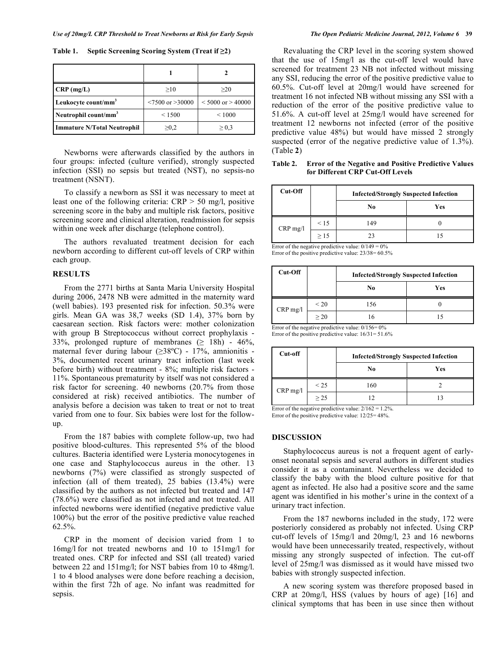Table 1. Septic Screening Scoring System (Treat if  $\geq 2$ )

| $CRP$ (mg/L)                       | >10                      | >20                   |
|------------------------------------|--------------------------|-----------------------|
| Leukocyte count/mm <sup>3</sup>    | $\leq$ 7500 or $>$ 30000 | $< 5000$ or $> 40000$ |
| Neutrophil count/ $mm3$            | < 1500                   | ${}_{\leq 1000}$      |
| <b>Immature N/Total Neutrophil</b> | $\geq 0.2$               | $\geq 0.3$            |

 Newborns were afterwards classified by the authors in four groups: infected (culture verified), strongly suspected infection (SSI) no sepsis but treated (NST), no sepsis-no treatment (NSNT).

 To classify a newborn as SSI it was necessary to meet at least one of the following criteria:  $CRP > 50$  mg/l, positive screening score in the baby and multiple risk factors, positive screening score and clinical alteration, readmission for sepsis within one week after discharge (telephone control).

 The authors revaluated treatment decision for each newborn according to different cut-off levels of CRP within each group.

## **RESULTS**

 From the 2771 births at Santa Maria University Hospital during 2006, 2478 NB were admitted in the maternity ward (well babies). 193 presented risk for infection. 50.3% were girls. Mean GA was 38,7 weeks (SD 1.4), 37% born by caesarean section. Risk factors were: mother colonization with group B Streptococcus without correct prophylaxis - 33%, prolonged rupture of membranes  $( \geq 18h )$  - 46%, maternal fever during labour  $(\geq 38^{\circ}\text{C})$  - 17%, amnionitis -3%, documented recent urinary tract infection (last week before birth) without treatment - 8%; multiple risk factors - 11%. Spontaneous prematurity by itself was not considered a risk factor for screening. 40 newborns (20.7% from those considered at risk) received antibiotics. The number of analysis before a decision was taken to treat or not to treat varied from one to four. Six babies were lost for the followup.

 From the 187 babies with complete follow-up, two had positive blood-cultures. This represented 5% of the blood cultures. Bacteria identified were Lysteria monocytogenes in one case and Staphylococcus aureus in the other. 13 newborns (7%) were classified as strongly suspected of infection (all of them treated), 25 babies (13.4%) were classified by the authors as not infected but treated and 147 (78.6%) were classified as not infected and not treated. All infected newborns were identified (negative predictive value 100%) but the error of the positive predictive value reached 62.5%.

 CRP in the moment of decision varied from 1 to 16mg/l for not treated newborns and 10 to 151mg/l for treated ones. CRP for infected and SSI (all treated) varied between 22 and 151mg/l; for NST babies from 10 to 48mg/l. 1 to 4 blood analyses were done before reaching a decision, within the first 72h of age. No infant was readmitted for sepsis.

 Revaluating the CRP level in the scoring system showed that the use of 15mg/l as the cut-off level would have screened for treatment 23 NB not infected without missing any SSI, reducing the error of the positive predictive value to 60.5%. Cut-off level at 20mg/l would have screened for treatment 16 not infected NB without missing any SSI with a reduction of the error of the positive predictive value to 51.6%. A cut-off level at 25mg/l would have screened for treatment 12 newborns not infected (error of the positive predictive value 48%) but would have missed 2 strongly suspected (error of the negative predictive value of 1.3%). (Table **2**)

**Table 2. Error of the Negative and Positive Predictive Values for Different CRP Cut-Off Levels** 

| Cut-Off    |      | <b>Infected/Strongly Suspected Infection</b> |     |  |
|------------|------|----------------------------------------------|-----|--|
|            |      | No                                           | Yes |  |
| $CRP$ mg/l | < 15 | 149                                          |     |  |
|            | >15  | 23                                           |     |  |

Error of the negative predictive value:  $0/149 = 0\%$ Error of the positive predictive value: 23/38= 60.5%

| Cut-Off    |           | <b>Infected/Strongly Suspected Infection</b> |     |  |
|------------|-----------|----------------------------------------------|-----|--|
|            |           | No                                           | Yes |  |
| $CRP$ mg/l | $\leq$ 20 | 156                                          |     |  |
|            | >20       | 16                                           |     |  |

Error of the positive predictive value:  $16/31 = 51.6\%$ 

| Cut-off    |           | <b>Infected/Strongly Suspected Infection</b> |     |  |
|------------|-----------|----------------------------------------------|-----|--|
|            |           | No                                           | Yes |  |
| $CRP$ mg/l | $\leq$ 25 | 160                                          |     |  |
|            | > 2.5     |                                              |     |  |

Error of the negative predictive value:  $2/162 = 1.2\%$ . Error of the positive predictive value: 12/25= 48%.

#### **DISCUSSION**

 Staphylococcus aureus is not a frequent agent of earlyonset neonatal sepsis and several authors in different studies consider it as a contaminant. Nevertheless we decided to classify the baby with the blood culture positive for that agent as infected. He also had a positive score and the same agent was identified in his mother's urine in the context of a urinary tract infection.

 From the 187 newborns included in the study, 172 were posteriorly considered as probably not infected. Using CRP cut-off levels of 15mg/l and 20mg/l, 23 and 16 newborns would have been unnecessarily treated, respectively, without missing any strongly suspected of infection. The cut-off level of 25mg/l was dismissed as it would have missed two babies with strongly suspected infection.

 A new scoring system was therefore proposed based in CRP at 20mg/l, HSS (values by hours of age) [16] and clinical symptoms that has been in use since then without